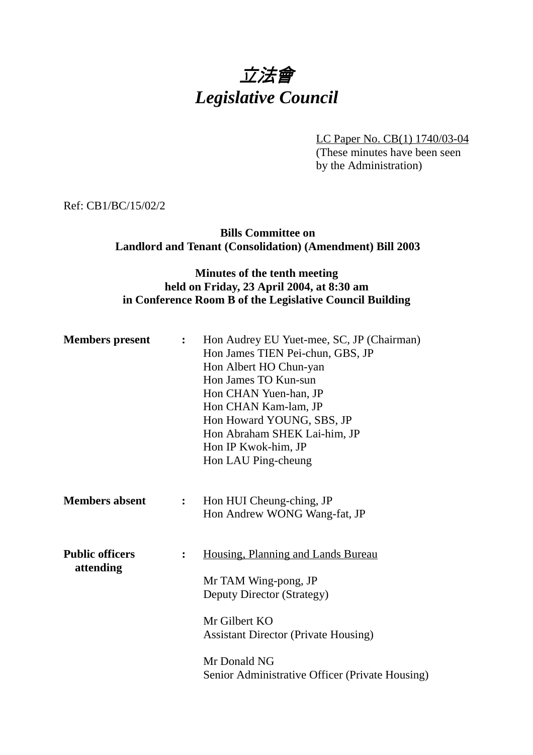# 立法會 *Legislative Council*

LC Paper No. CB(1) 1740/03-04 (These minutes have been seen by the Administration)

Ref: CB1/BC/15/02/2

# **Bills Committee on Landlord and Tenant (Consolidation) (Amendment) Bill 2003**

### **Minutes of the tenth meeting held on Friday, 23 April 2004, at 8:30 am in Conference Room B of the Legislative Council Building**

| <b>Members</b> present              | $\ddot{\bullet}$ | Hon Audrey EU Yuet-mee, SC, JP (Chairman)<br>Hon James TIEN Pei-chun, GBS, JP<br>Hon Albert HO Chun-yan<br>Hon James TO Kun-sun<br>Hon CHAN Yuen-han, JP<br>Hon CHAN Kam-lam, JP<br>Hon Howard YOUNG, SBS, JP<br>Hon Abraham SHEK Lai-him, JP<br>Hon IP Kwok-him, JP<br>Hon LAU Ping-cheung |
|-------------------------------------|------------------|---------------------------------------------------------------------------------------------------------------------------------------------------------------------------------------------------------------------------------------------------------------------------------------------|
| <b>Members absent</b>               | $\ddot{\cdot}$   | Hon HUI Cheung-ching, JP<br>Hon Andrew WONG Wang-fat, JP                                                                                                                                                                                                                                    |
| <b>Public officers</b><br>attending | $\ddot{\cdot}$   | Housing, Planning and Lands Bureau<br>Mr TAM Wing-pong, JP<br>Deputy Director (Strategy)<br>Mr Gilbert KO<br><b>Assistant Director (Private Housing)</b><br>Mr Donald NG<br>Senior Administrative Officer (Private Housing)                                                                 |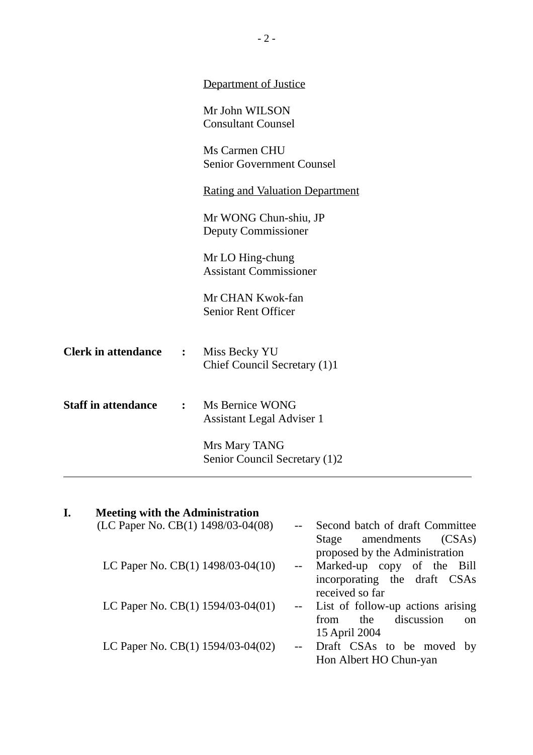|                                | Department of Justice<br>Mr John WILSON<br><b>Consultant Counsel</b> |
|--------------------------------|----------------------------------------------------------------------|
|                                |                                                                      |
|                                |                                                                      |
|                                | Ms Carmen CHU<br><b>Senior Government Counsel</b>                    |
|                                | <b>Rating and Valuation Department</b>                               |
|                                | Mr WONG Chun-shiu, JP<br>Deputy Commissioner                         |
|                                | Mr LO Hing-chung<br><b>Assistant Commissioner</b>                    |
|                                | Mr CHAN Kwok-fan<br><b>Senior Rent Officer</b>                       |
|                                | Miss Becky YU<br>Chief Council Secretary (1)1                        |
|                                | Ms Bernice WONG<br><b>Assistant Legal Adviser 1</b>                  |
|                                | Mrs Mary TANG<br>Senior Council Secretary (1)2                       |
| $\mathbf{L}$<br>$\ddot{\cdot}$ |                                                                      |

| I. | <b>Meeting with the Administration</b> |                                                                 |
|----|----------------------------------------|-----------------------------------------------------------------|
|    | (LC Paper No. CB(1) 1498/03-04(08)     | Second batch of draft Committee                                 |
|    |                                        | amendments<br>(CSAs)<br>Stage<br>proposed by the Administration |
|    | LC Paper No. CB(1) 1498/03-04(10)      | -- Marked-up copy of the Bill                                   |
|    |                                        | incorporating the draft CSAs                                    |
|    |                                        | received so far                                                 |
|    | LC Paper No. CB(1) 1594/03-04(01)      | -- List of follow-up actions arising                            |
|    |                                        | discussion<br>the<br>from<br>$\alpha$                           |
|    |                                        | 15 April 2004                                                   |
|    | LC Paper No. CB(1) 1594/03-04(02)      | Draft CSAs to be moved by                                       |
|    |                                        | Hon Albert HO Chun-yan                                          |
|    |                                        |                                                                 |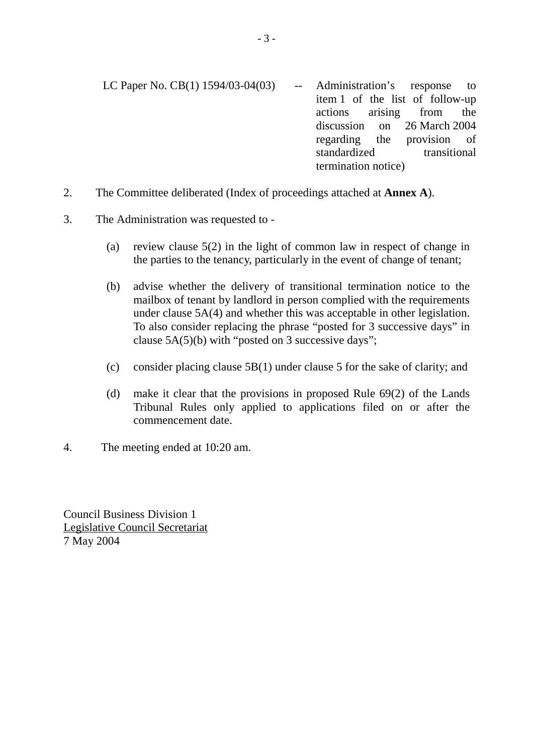- LC Paper No. CB(1) 1594/03-04(03) -- Administration's response to item 1 of the list of follow-up actions arising from the discussion on 26 March 2004 regarding the provision of standardized transitional termination notice)
- 2. The Committee deliberated (Index of proceedings attached at **Annex A**).

# 3. The Administration was requested to -

- (a) review clause 5(2) in the light of common law in respect of change in the parties to the tenancy, particularly in the event of change of tenant;
- (b) advise whether the delivery of transitional termination notice to the mailbox of tenant by landlord in person complied with the requirements under clause 5A(4) and whether this was acceptable in other legislation. To also consider replacing the phrase "posted for 3 successive days" in clause 5A(5)(b) with "posted on 3 successive days";
- (c) consider placing clause 5B(1) under clause 5 for the sake of clarity; and
- (d) make it clear that the provisions in proposed Rule 69(2) of the Lands Tribunal Rules only applied to applications filed on or after the commencement date.
- 4. The meeting ended at 10:20 am.

Council Business Division 1 Legislative Council Secretariat 7 May 2004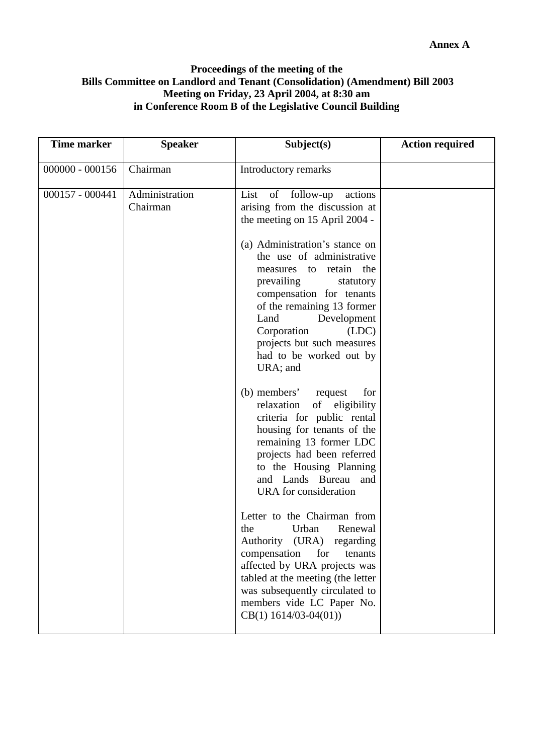#### **Proceedings of the meeting of the Bills Committee on Landlord and Tenant (Consolidation) (Amendment) Bill 2003 Meeting on Friday, 23 April 2004, at 8:30 am in Conference Room B of the Legislative Council Building**

| <b>Time marker</b> | <b>Speaker</b>             | Subject(s)                                                                                                                                                                                                                                                                                                                                                                                                                                                                                                                                                                                                                                                                                                                         | <b>Action required</b> |
|--------------------|----------------------------|------------------------------------------------------------------------------------------------------------------------------------------------------------------------------------------------------------------------------------------------------------------------------------------------------------------------------------------------------------------------------------------------------------------------------------------------------------------------------------------------------------------------------------------------------------------------------------------------------------------------------------------------------------------------------------------------------------------------------------|------------------------|
| $000000 - 000156$  | Chairman                   | Introductory remarks                                                                                                                                                                                                                                                                                                                                                                                                                                                                                                                                                                                                                                                                                                               |                        |
| $000157 - 000441$  | Administration<br>Chairman | List of follow-up<br>actions<br>arising from the discussion at<br>the meeting on 15 April 2004 -<br>(a) Administration's stance on<br>the use of administrative<br>measures to retain the<br>prevailing<br>statutory<br>compensation for tenants<br>of the remaining 13 former<br>Land<br>Development<br>Corporation<br>(LDC)<br>projects but such measures<br>had to be worked out by<br>URA; and<br>(b) members'<br>request<br>for<br>of eligibility<br>relaxation<br>criteria for public rental<br>housing for tenants of the<br>remaining 13 former LDC<br>projects had been referred<br>to the Housing Planning<br>and Lands Bureau<br>and<br>URA for consideration<br>Letter to the Chairman from<br>Renewal<br>the<br>Urban |                        |
|                    |                            | Authority (URA) regarding<br>compensation<br>for<br>tenants<br>affected by URA projects was<br>tabled at the meeting (the letter<br>was subsequently circulated to<br>members vide LC Paper No.<br>$CB(1)$ 1614/03-04(01))                                                                                                                                                                                                                                                                                                                                                                                                                                                                                                         |                        |
|                    |                            |                                                                                                                                                                                                                                                                                                                                                                                                                                                                                                                                                                                                                                                                                                                                    |                        |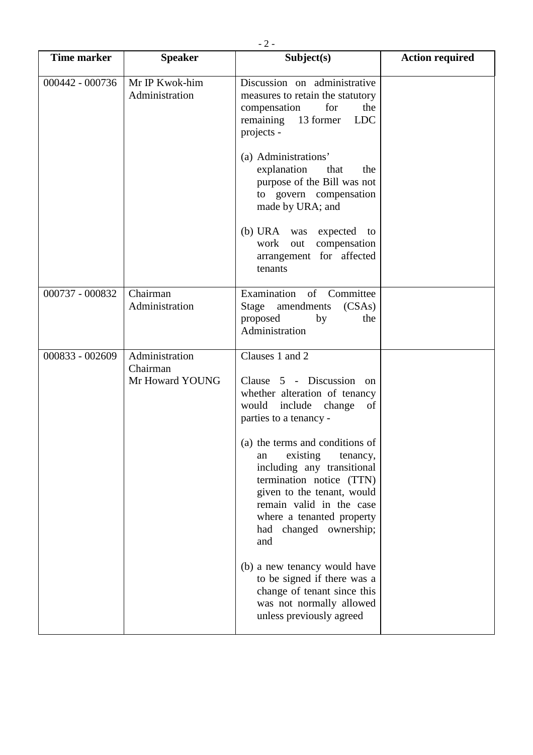| <b>Time marker</b> | <b>Speaker</b>                                | Subject(s)                                                                                                                                                                                                                                                                                                                                                                                                                                                                                                                                    | <b>Action required</b> |
|--------------------|-----------------------------------------------|-----------------------------------------------------------------------------------------------------------------------------------------------------------------------------------------------------------------------------------------------------------------------------------------------------------------------------------------------------------------------------------------------------------------------------------------------------------------------------------------------------------------------------------------------|------------------------|
| 000442 - 000736    | Mr IP Kwok-him<br>Administration              | Discussion on administrative<br>measures to retain the statutory<br>for<br>compensation<br>the<br>remaining 13 former<br><b>LDC</b><br>projects -<br>(a) Administrations'<br>explanation<br>that<br>the<br>purpose of the Bill was not<br>to govern compensation                                                                                                                                                                                                                                                                              |                        |
|                    |                                               | made by URA; and<br>(b) URA was expected to<br>work out<br>compensation<br>arrangement for affected<br>tenants                                                                                                                                                                                                                                                                                                                                                                                                                                |                        |
| 000737 - 000832    | Chairman<br>Administration                    | Examination of Committee<br>Stage amendments<br>(CSAs)<br>proposed<br>by<br>the<br>Administration                                                                                                                                                                                                                                                                                                                                                                                                                                             |                        |
| 000833 - 002609    | Administration<br>Chairman<br>Mr Howard YOUNG | Clauses 1 and 2<br>Clause 5 - Discussion on<br>whether alteration of tenancy<br>would include change<br>of<br>parties to a tenancy -<br>(a) the terms and conditions of<br>existing<br>tenancy,<br>an<br>including any transitional<br>termination notice (TTN)<br>given to the tenant, would<br>remain valid in the case<br>where a tenanted property<br>had changed ownership;<br>and<br>(b) a new tenancy would have<br>to be signed if there was a<br>change of tenant since this<br>was not normally allowed<br>unless previously agreed |                        |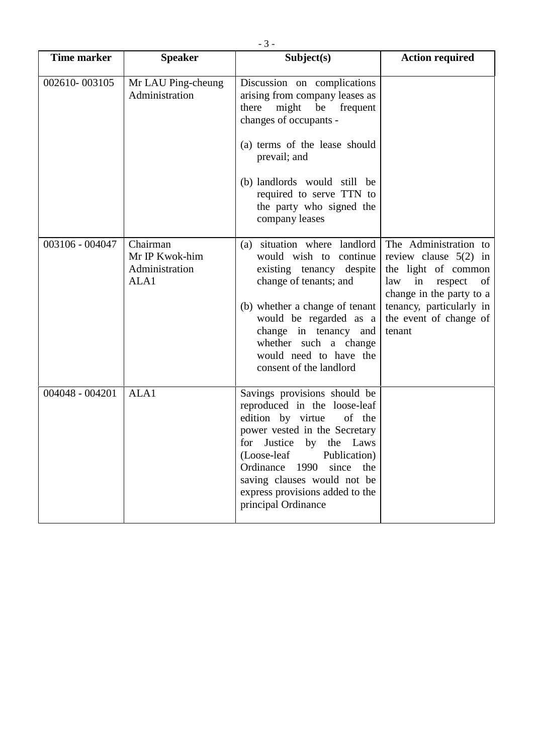| <b>Time marker</b> | <b>Speaker</b>                                       | Subject(s)                                                                                                                                                                                                                                                                                                           | <b>Action required</b>                                                                                                                                                                   |
|--------------------|------------------------------------------------------|----------------------------------------------------------------------------------------------------------------------------------------------------------------------------------------------------------------------------------------------------------------------------------------------------------------------|------------------------------------------------------------------------------------------------------------------------------------------------------------------------------------------|
| 002610-003105      | Mr LAU Ping-cheung<br>Administration                 | Discussion on complications<br>arising from company leases as<br>there<br>might be frequent<br>changes of occupants -<br>(a) terms of the lease should<br>prevail; and<br>(b) landlords would still be<br>required to serve TTN to<br>the party who signed the<br>company leases                                     |                                                                                                                                                                                          |
| 003106 - 004047    | Chairman<br>Mr IP Kwok-him<br>Administration<br>ALA1 | situation where landlord<br>(a)<br>would wish to continue<br>existing tenancy despite<br>change of tenants; and<br>(b) whether a change of tenant<br>would be regarded as a<br>change in tenancy and<br>whether such a change<br>would need to have the<br>consent of the landlord                                   | The Administration to<br>review clause $5(2)$ in<br>the light of common<br>law in respect of<br>change in the party to a<br>tenancy, particularly in<br>the event of change of<br>tenant |
| $004048 - 004201$  | ALA1                                                 | Savings provisions should be<br>reproduced in the loose-leaf<br>edition by virtue<br>of the<br>power vested in the Secretary<br>for Justice by the Laws<br>(Loose-leaf<br>Publication)<br>Ordinance<br>1990<br>since<br>the<br>saving clauses would not be<br>express provisions added to the<br>principal Ordinance |                                                                                                                                                                                          |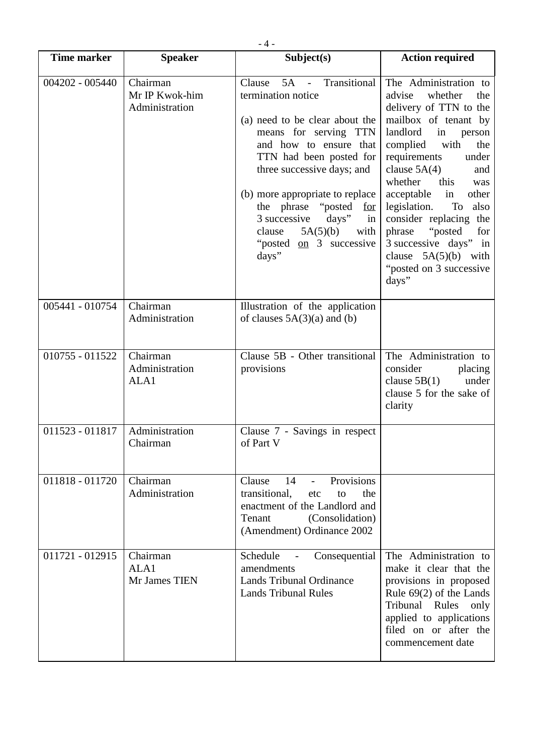| <b>Time marker</b> | <b>Speaker</b>                               | Subject(s)                                                                                                                                                                                                                                                                                                                                                                            | <b>Action required</b>                                                                                                                                                                                                                                                                                                                                                                                                                          |
|--------------------|----------------------------------------------|---------------------------------------------------------------------------------------------------------------------------------------------------------------------------------------------------------------------------------------------------------------------------------------------------------------------------------------------------------------------------------------|-------------------------------------------------------------------------------------------------------------------------------------------------------------------------------------------------------------------------------------------------------------------------------------------------------------------------------------------------------------------------------------------------------------------------------------------------|
| $004202 - 005440$  | Chairman<br>Mr IP Kwok-him<br>Administration | 5A - Transitional<br>Clause<br>termination notice<br>(a) need to be clear about the<br>means for serving TTN<br>and how to ensure that<br>TTN had been posted for<br>three successive days; and<br>(b) more appropriate to replace<br>the phrase "posted"<br><u>for</u><br>3 successive<br>$\frac{days''}{}$<br>in<br>5A(5)(b)<br>clause<br>with<br>"posted on 3 successive"<br>days" | The Administration to<br>advise<br>whether<br>the<br>delivery of TTN to the<br>mailbox of tenant by<br>landlord<br>in<br>person<br>complied<br>with<br>the<br>requirements<br>under<br>clause $5A(4)$<br>and<br>whether<br>this<br>was<br>in<br>acceptable<br>other<br>legislation.<br>To<br>also<br>consider replacing the<br>phrase<br>"posted"<br>for<br>3 successive days" in<br>clause $5A(5)(b)$ with<br>"posted on 3 successive<br>days" |
| 005441 - 010754    | Chairman<br>Administration                   | Illustration of the application<br>of clauses $5A(3)(a)$ and (b)                                                                                                                                                                                                                                                                                                                      |                                                                                                                                                                                                                                                                                                                                                                                                                                                 |
| 010755 - 011522    | Chairman<br>Administration<br>ALA1           | Clause 5B - Other transitional<br>provisions                                                                                                                                                                                                                                                                                                                                          | The Administration to<br>consider<br>placing<br>clause $5B(1)$<br>under<br>clause 5 for the sake of<br>clarity                                                                                                                                                                                                                                                                                                                                  |
| 011523 - 011817    | Administration<br>Chairman                   | Clause 7 - Savings in respect<br>of Part V                                                                                                                                                                                                                                                                                                                                            |                                                                                                                                                                                                                                                                                                                                                                                                                                                 |
| 011818 - 011720    | Chairman<br>Administration                   | Provisions<br>Clause<br>14<br>$\blacksquare$<br>transitional,<br>the<br>etc<br>to<br>enactment of the Landlord and<br>Tenant<br>(Consolidation)<br>(Amendment) Ordinance 2002                                                                                                                                                                                                         |                                                                                                                                                                                                                                                                                                                                                                                                                                                 |
| 011721 - 012915    | Chairman<br>ALA1<br>Mr James TIEN            | Schedule<br>Consequential<br>amendments<br><b>Lands Tribunal Ordinance</b><br><b>Lands Tribunal Rules</b>                                                                                                                                                                                                                                                                             | The Administration to<br>make it clear that the<br>provisions in proposed<br>Rule $69(2)$ of the Lands<br>Tribunal Rules<br>only<br>applied to applications<br>filed on or after the<br>commencement date                                                                                                                                                                                                                                       |